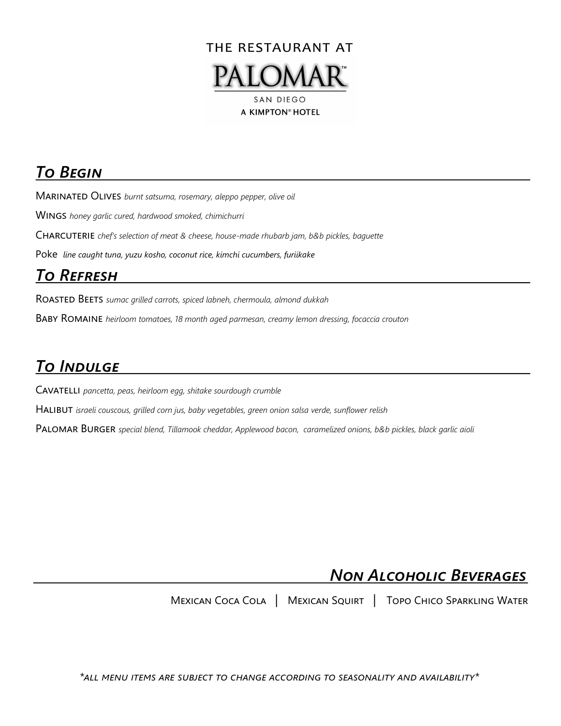

## *To Begin*

Marinated Olives *burnt satsuma, rosemary, aleppo pepper, olive oil* 

Wings *honey garlic cured, hardwood smoked, chimichurri* 

Charcuterie *chef's selection of meat & cheese, house-made rhubarb jam, b&b pickles, baguette* 

Poke *line caught tuna, yuzu kosho, coconut rice, kimchi cucumbers, furiikake* 

# *To Refresh*

Roasted Beets *sumac grilled carrots, spiced labneh, chermoula, almond dukkah*

Baby Romaine *heirloom tomatoes, 18 month aged parmesan, creamy lemon dressing, focaccia crouton*

# *To Indulge*

Cavatelli *pancetta, peas, heirloom egg, shitake sourdough crumble* 

Halibut *israeli couscous, grilled corn jus, baby vegetables, green onion salsa verde, sunflower relish*

PALOMAR BURGER *special blend, Tillamook cheddar, Applewood bacon, caramelized onions, b&b pickles, black garlic aioli* 

# *Non Alcoholic Beverages*

Mexican Coca Cola | Mexican Squirt | Topo Chico Sparkling Water

*\*all menu items are subject to change according to seasonality and availability\**